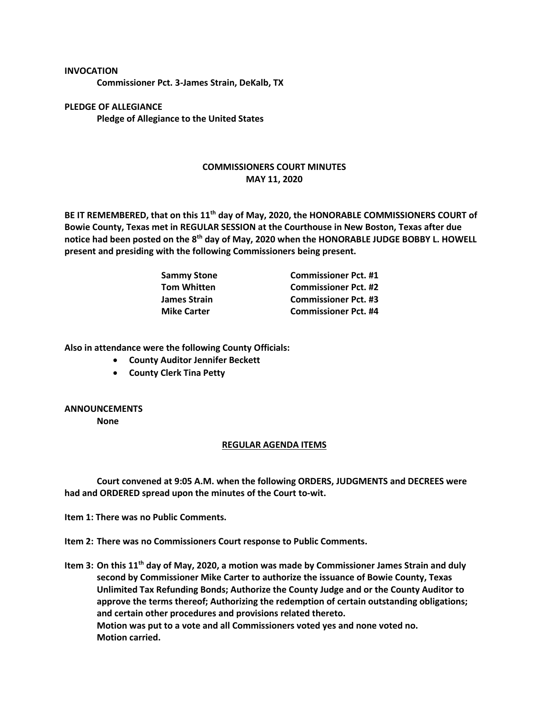## **INVOCATION**

**Commissioner Pct. 3-James Strain, DeKalb, TX**

**PLEDGE OF ALLEGIANCE Pledge of Allegiance to the United States**

## **COMMISSIONERS COURT MINUTES MAY 11, 2020**

**BE IT REMEMBERED, that on this 11th day of May, 2020, the HONORABLE COMMISSIONERS COURT of Bowie County, Texas met in REGULAR SESSION at the Courthouse in New Boston, Texas after due notice had been posted on the 8th day of May, 2020 when the HONORABLE JUDGE BOBBY L. HOWELL present and presiding with the following Commissioners being present.**

| <b>Sammy Stone</b>  | <b>Commissioner Pct. #1</b> |
|---------------------|-----------------------------|
| <b>Tom Whitten</b>  | <b>Commissioner Pct. #2</b> |
| <b>James Strain</b> | <b>Commissioner Pct. #3</b> |
| <b>Mike Carter</b>  | <b>Commissioner Pct. #4</b> |

**Also in attendance were the following County Officials:**

- **County Auditor Jennifer Beckett**
- **County Clerk Tina Petty**

## **ANNOUNCEMENTS**

**None**

## **REGULAR AGENDA ITEMS**

**Court convened at 9:05 A.M. when the following ORDERS, JUDGMENTS and DECREES were had and ORDERED spread upon the minutes of the Court to-wit.**

**Item 1: There was no Public Comments.**

**Item 2: There was no Commissioners Court response to Public Comments.**

**Item 3: On this 11th day of May, 2020, a motion was made by Commissioner James Strain and duly second by Commissioner Mike Carter to authorize the issuance of Bowie County, Texas Unlimited Tax Refunding Bonds; Authorize the County Judge and or the County Auditor to approve the terms thereof; Authorizing the redemption of certain outstanding obligations; and certain other procedures and provisions related thereto. Motion was put to a vote and all Commissioners voted yes and none voted no. Motion carried.**